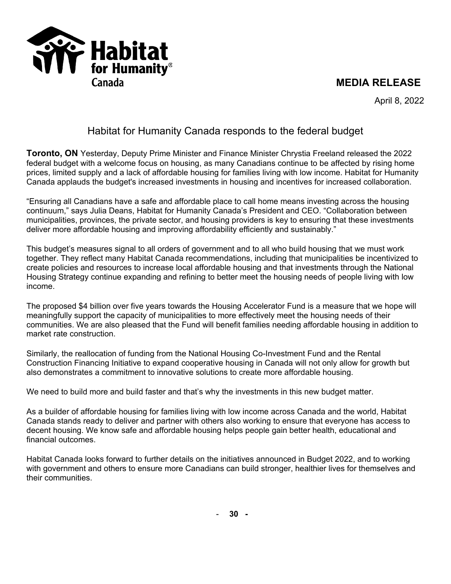## **MEDIA RELEASE**

April 8, 2022

## Habitat for Humanity Canada responds to the federal budget

**Toronto, ON** Yesterday, Deputy Prime Minister and Finance Minister Chrystia Freeland released the 2022 federal budget with a welcome focus on housing, as many Canadians continue to be affected by rising home prices, limited supply and a lack of affordable housing for families living with low income. Habitat for Humanity Canada applauds the budget's increased investments in housing and incentives for increased collaboration.

"Ensuring all Canadians have a safe and affordable place to call home means investing across the housing continuum," says Julia Deans, Habitat for Humanity Canada's President and CEO. "Collaboration between municipalities, provinces, the private sector, and housing providers is key to ensuring that these investments deliver more affordable housing and improving affordability efficiently and sustainably."

This budget's measures signal to all orders of government and to all who build housing that we must work together. They reflect many Habitat Canada recommendations, including that municipalities be incentivized to create policies and resources to increase local affordable housing and that investments through the National Housing Strategy continue expanding and refining to better meet the housing needs of people living with low income.

The proposed \$4 billion over five years towards the Housing Accelerator Fund is a measure that we hope will meaningfully support the capacity of municipalities to more effectively meet the housing needs of their communities. We are also pleased that the Fund will benefit families needing affordable housing in addition to market rate construction.

Similarly, the reallocation of funding from the National Housing Co-Investment Fund and the Rental Construction Financing Initiative to expand cooperative housing in Canada will not only allow for growth but also demonstrates a commitment to innovative solutions to create more affordable housing.

We need to build more and build faster and that's why the investments in this new budget matter.

As a builder of affordable housing for families living with low income across Canada and the world, Habitat Canada stands ready to deliver and partner with others also working to ensure that everyone has access to decent housing. We know safe and affordable housing helps people gain better health, educational and financial outcomes.

Habitat Canada looks forward to further details on the initiatives announced in Budget 2022, and to working with government and others to ensure more Canadians can build stronger, healthier lives for themselves and their communities.

- **30 -**